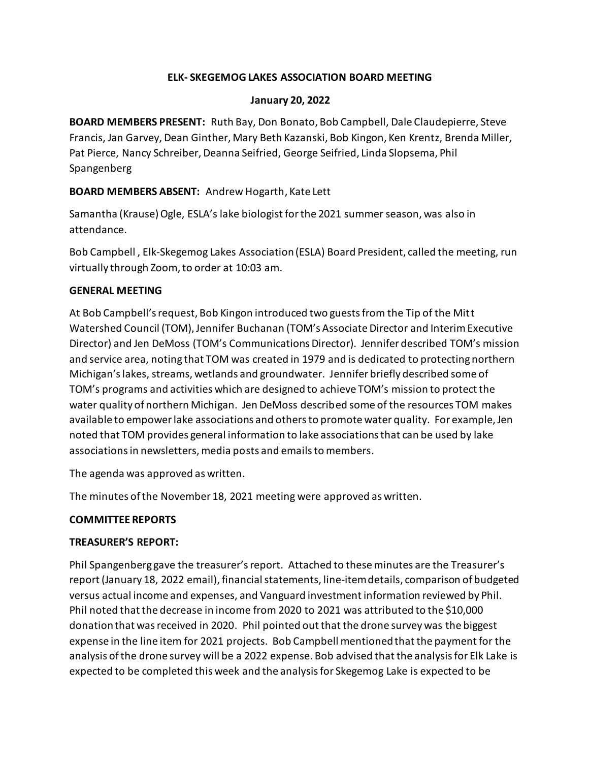### **ELK- SKEGEMOG LAKES ASSOCIATION BOARD MEETING**

#### **January 20, 2022**

**BOARD MEMBERS PRESENT:** Ruth Bay, Don Bonato, Bob Campbell, Dale Claudepierre, Steve Francis, Jan Garvey, Dean Ginther, Mary Beth Kazanski, Bob Kingon, Ken Krentz, Brenda Miller, Pat Pierce, Nancy Schreiber, Deanna Seifried, George Seifried, Linda Slopsema, Phil Spangenberg

## **BOARD MEMBERS ABSENT:** Andrew Hogarth, Kate Lett

Samantha (Krause) Ogle, ESLA's lake biologist for the 2021 summer season, was also in attendance.

Bob Campbell , Elk-Skegemog Lakes Association (ESLA) Board President, called the meeting, run virtually through Zoom, to order at 10:03 am.

## **GENERAL MEETING**

At Bob Campbell's request, Bob Kingon introduced two guests from the Tip of the Mitt Watershed Council (TOM), Jennifer Buchanan (TOM's Associate Director and Interim Executive Director) and Jen DeMoss (TOM's Communications Director). Jennifer described TOM's mission and service area, noting that TOM was created in 1979 and is dedicated to protecting northern Michigan's lakes, streams, wetlands and groundwater. Jennifer briefly described some of TOM's programs and activities which are designed to achieve TOM's mission to protect the water quality of northern Michigan. Jen DeMoss described some of the resources TOM makes available to empower lake associations and others to promote water quality. For example, Jen noted that TOM provides general information to lake associations that can be used by lake associations in newsletters, media posts and emails to members.

The agenda was approved as written.

The minutes of the November 18, 2021 meeting were approved as written.

## **COMMITTEE REPORTS**

## **TREASURER'S REPORT:**

Phil Spangenberg gave the treasurer's report. Attached to these minutes are the Treasurer's report (January 18, 2022 email), financial statements, line-item details, comparison of budgeted versus actual income and expenses, and Vanguard investment information reviewed by Phil. Phil noted that the decrease in income from 2020 to 2021 was attributed to the \$10,000 donation that was received in 2020. Phil pointed out that the drone survey was the biggest expense in the line item for 2021 projects. Bob Campbell mentioned that the payment for the analysis of the drone survey will be a 2022 expense. Bob advised that the analysis for Elk Lake is expected to be completed this week and the analysis for Skegemog Lake is expected to be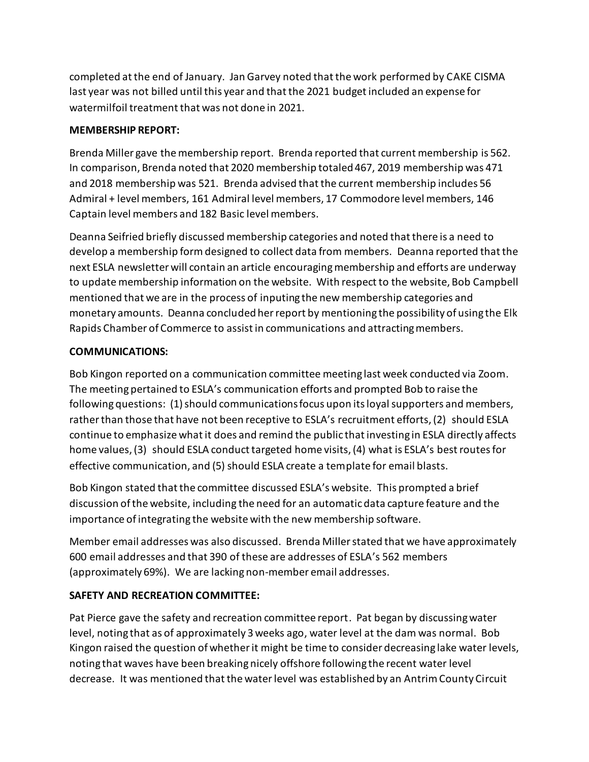completed at the end of January. Jan Garvey noted that the work performed by CAKE CISMA last year was not billed until this year and that the 2021 budget included an expense for watermilfoil treatment that was not done in 2021.

# **MEMBERSHIP REPORT:**

Brenda Miller gave the membership report. Brenda reported that current membership is 562. In comparison, Brenda noted that 2020 membership totaled 467, 2019 membership was 471 and 2018 membership was 521. Brenda advised that the current membership includes 56 Admiral + level members, 161 Admiral level members, 17 Commodore level members, 146 Captain level members and 182 Basic level members.

Deanna Seifried briefly discussed membership categories and noted that there is a need to develop a membership form designed to collect data from members. Deanna reported that the next ESLA newsletter will contain an article encouraging membership and efforts are underway to update membership information on the website. With respect to the website, Bob Campbell mentioned that we are in the process of inputing the new membership categories and monetary amounts. Deanna concluded her report by mentioning the possibility of using the Elk Rapids Chamber of Commerce to assist in communications and attracting members.

# **COMMUNICATIONS:**

Bob Kingon reported on a communication committee meeting last week conducted via Zoom. The meeting pertained to ESLA's communication efforts and prompted Bob to raise the following questions: (1) should communications focus upon its loyal supporters and members, rather than those that have not been receptive to ESLA's recruitment efforts, (2) should ESLA continue to emphasize what it does and remind the public that investing in ESLA directly affects home values, (3) should ESLA conduct targeted home visits, (4) what is ESLA's best routes for effective communication, and (5) should ESLA create a template for email blasts.

Bob Kingon stated that the committee discussed ESLA's website. This prompted a brief discussion of the website, including the need for an automatic data capture feature and the importance of integrating the website with the new membership software.

Member email addresses was also discussed. Brenda Miller stated that we have approximately 600 email addresses and that 390 of these are addresses of ESLA's 562 members (approximately 69%). We are lacking non-member email addresses.

# **SAFETY AND RECREATION COMMITTEE:**

Pat Pierce gave the safety and recreation committee report. Pat began by discussing water level, noting that as of approximately 3 weeks ago, water level at the dam was normal. Bob Kingon raised the question of whether it might be time to consider decreasing lake water levels, noting that waves have been breaking nicely offshore following the recent water level decrease. It was mentioned that the water level was established by an Antrim County Circuit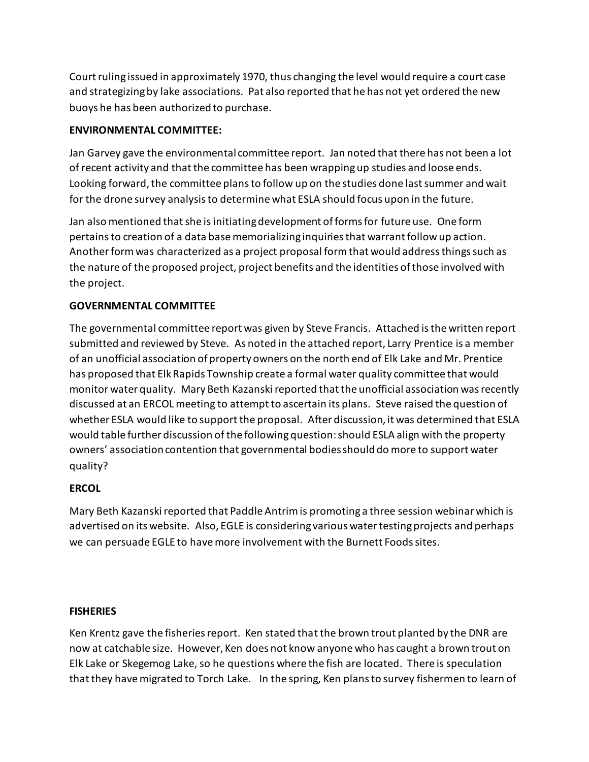Court ruling issued in approximately 1970, thus changing the level would require a court case and strategizing by lake associations. Pat also reported that he has not yet ordered the new buoys he has been authorized to purchase.

## **ENVIRONMENTAL COMMITTEE:**

Jan Garvey gave the environmental committee report. Jan noted that there has not been a lot of recent activity and that the committee has been wrapping up studies and loose ends. Looking forward, the committee plans to follow up on the studies done last summer and wait for the drone survey analysis to determine what ESLA should focus upon in the future.

Jan also mentioned that she is initiating development of forms for future use. One form pertains to creation of a data base memorializing inquiries that warrant follow up action. Another form was characterized as a project proposal form that would address things such as the nature of the proposed project, project benefits and the identities of those involved with the project.

# **GOVERNMENTAL COMMITTEE**

The governmental committee report was given by Steve Francis. Attached is the written report submitted and reviewed by Steve. As noted in the attached report, Larry Prentice is a member of an unofficial association of property owners on the north end of Elk Lake and Mr. Prentice has proposed that Elk Rapids Township create a formal water quality committee that would monitor water quality. Mary Beth Kazanski reported that the unofficial association was recently discussed at an ERCOL meeting to attempt to ascertain its plans. Steve raised the question of whether ESLA would like to support the proposal. After discussion, it was determined that ESLA would table further discussion of the following question: should ESLA align with the property owners' association contention that governmental bodies should do more to support water quality?

## **ERCOL**

Mary Beth Kazanski reported that Paddle Antrim is promoting a three session webinar which is advertised on its website. Also, EGLE is considering various water testing projects and perhaps we can persuade EGLE to have more involvement with the Burnett Foods sites.

## **FISHERIES**

Ken Krentz gave the fisheries report. Ken stated that the brown trout planted by the DNR are now at catchable size. However, Ken does not know anyone who has caught a brown trout on Elk Lake or Skegemog Lake, so he questions where the fish are located. There is speculation that they have migrated to Torch Lake. In the spring, Ken plans to survey fishermen to learn of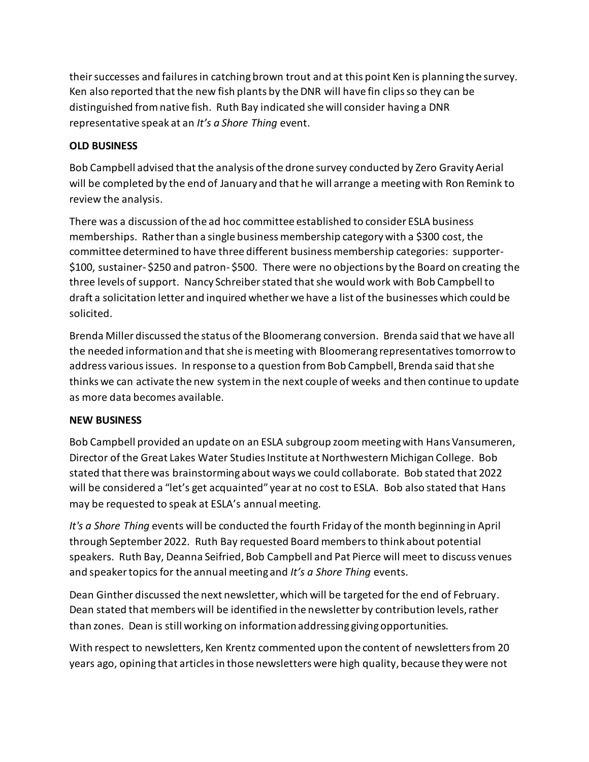their successes and failures in catching brown trout and at this point Ken is planning the survey. Ken also reported that the new fish plants by the DNR will have fin clips so they can be distinguished from native fish. Ruth Bay indicated she will consider having a DNR representative speak at an *It's a Shore Thing* event.

# **OLD BUSINESS**

Bob Campbell advised that the analysis of the drone survey conducted by Zero Gravity Aerial will be completed by the end of January and that he will arrange a meeting with Ron Remink to review the analysis.

There was a discussion of the ad hoc committee established to consider ESLA business memberships. Rather than a single business membership category with a \$300 cost, the committee determined to have three different business membership categories: supporter- \$100, sustainer- \$250 and patron- \$500. There were no objections by the Board on creating the three levels of support. Nancy Schreiber stated that she would work with Bob Campbell to draft a solicitation letter and inquired whether we have a list of the businesses which could be solicited.

Brenda Miller discussed the status of the Bloomerang conversion. Brenda said that we have all the needed information and that she is meeting with Bloomerang representatives tomorrow to address various issues. In response to a question from Bob Campbell, Brenda said that she thinks we can activate the new system in the next couple of weeks and then continue to update as more data becomes available.

## **NEW BUSINESS**

Bob Campbell provided an update on an ESLA subgroup zoom meeting with Hans Vansumeren, Director of the Great Lakes Water Studies Institute at Northwestern Michigan College. Bob stated that there was brainstorming about ways we could collaborate. Bob stated that 2022 will be considered a "let's get acquainted" year at no cost to ESLA. Bob also stated that Hans may be requested to speak at ESLA's annual meeting.

*It's a Shore Thing* events will be conducted the fourth Friday of the month beginning in April through September 2022. Ruth Bay requested Board members to think about potential speakers. Ruth Bay, Deanna Seifried, Bob Campbell and Pat Pierce will meet to discuss venues and speaker topics for the annual meeting and *It's a Shore Thing* events.

Dean Ginther discussed the next newsletter, which will be targeted for the end of February. Dean stated that members will be identified in the newsletter by contribution levels, rather than zones. Dean is still working on information addressing giving opportunities.

With respect to newsletters, Ken Krentz commented upon the content of newsletters from 20 years ago, opining that articles in those newsletters were high quality, because they were not